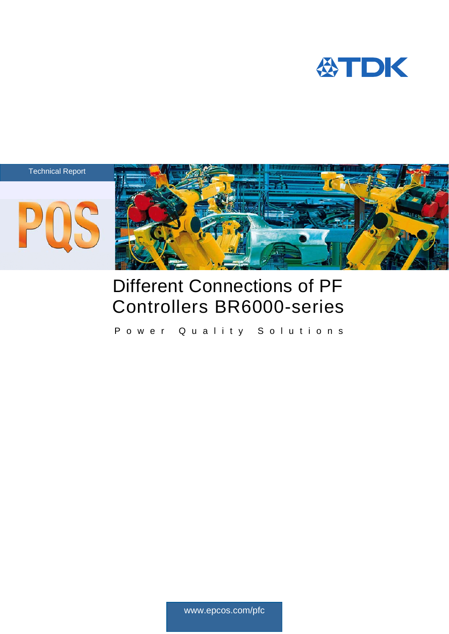







# Different Connections of PF Controllers BR6000-series

Power Quality Solutions

www.epcos.com/pfc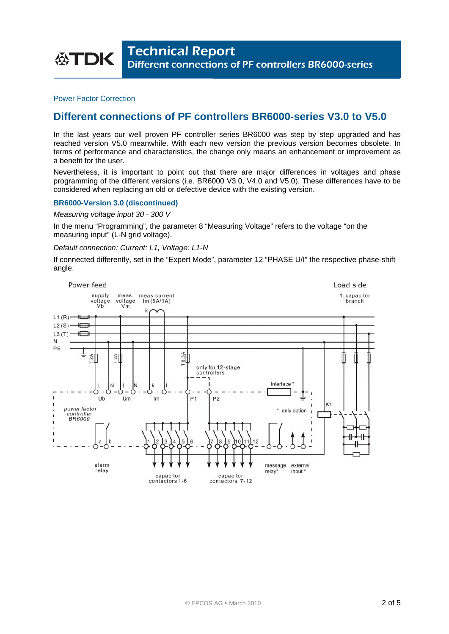Power Factor Correction

# **Different connections of PF controllers BR6000-series V3.0 to V5.0**

In the last years our well proven PF controller series BR6000 was step by step upgraded and has reached version V5.0 meanwhile. With each new version the previous version becomes obsolete. In terms of performance and characteristics, the change only means an enhancement or improvement as a benefit for the user.

Nevertheless, it is important to point out that there are major differences in voltages and phase programming of the different versions (i.e. BR6000 V3.0, V4.0 and V5.0). These differences have to be considered when replacing an old or defective device with the existing version.

## **BR6000-Version 3.0 (discontinued)**

## *Measuring voltage input 30 - 300 V*

In the menu "Programming", the parameter 8 "Measuring Voltage" refers to the voltage "on the measuring input" (L-N grid voltage).

#### *Default connection: Current: L1, Voltage: L1-N*

If connected differently, set in the "Expert Mode", parameter 12 "PHASE U/I" the respective phase-shift angle.

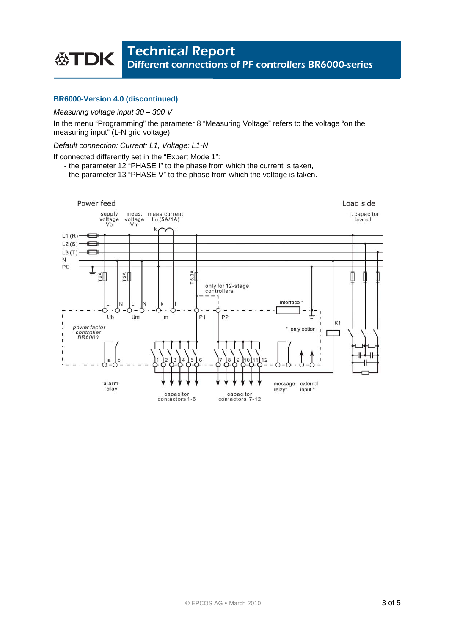# **BR6000-Version 4.0 (discontinued)**

## *Measuring voltage input 30 – 300 V*

In the menu "Programming" the parameter 8 "Measuring Voltage" refers to the voltage "on the measuring input" (L-N grid voltage).

#### *Default connection: Current: L1, Voltage: L1-N*

If connected differently set in the "Expert Mode 1":

- the parameter 12 "PHASE I" to the phase from which the current is taken,
- the parameter 13 "PHASE V" to the phase from which the voltage is taken.

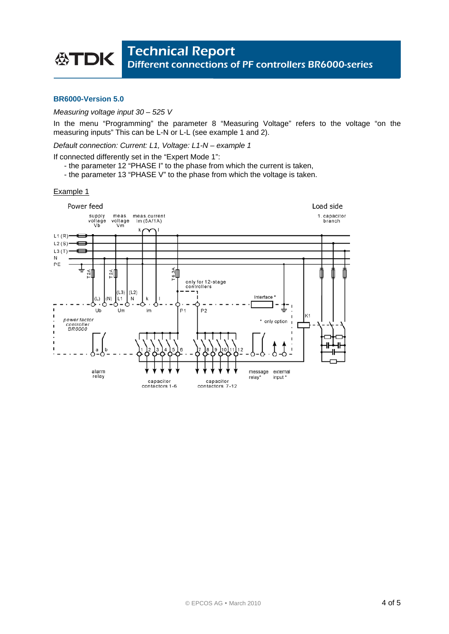## **BR6000-Version 5.0**

## *Measuring voltage input 30 – 525 V*

In the menu "Programming" the parameter 8 "Measuring Voltage" refers to the voltage "on the measuring inputs" This can be L-N or L-L (see example 1 and 2).

*Default connection: Current: L1, Voltage: L1-N – example 1* 

If connected differently set in the "Expert Mode 1":

- the parameter 12 "PHASE I" to the phase from which the current is taken,
- the parameter 13 "PHASE V" to the phase from which the voltage is taken.

#### Example 1